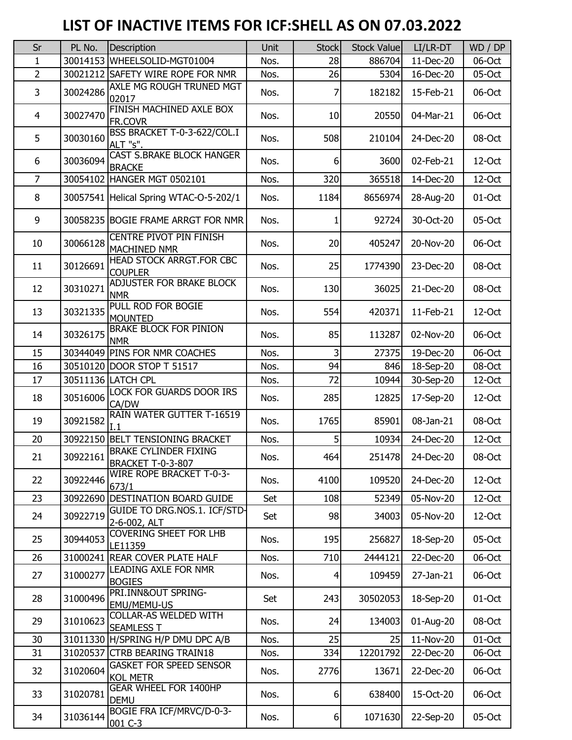## **LIST OF INACTIVE ITEMS FOR ICF:SHELL AS ON 07.03.2022**

| Sr             | PL No.   | Description                                              | Unit | <b>Stock</b>   | <b>Stock Value</b> | LI/LR-DT  | WD / DP   |
|----------------|----------|----------------------------------------------------------|------|----------------|--------------------|-----------|-----------|
| 1              |          | 30014153 WHEELSOLID-MGT01004                             | Nos. | 28             | 886704             | 11-Dec-20 | 06-Oct    |
| $\overline{2}$ |          | 30021212 SAFETY WIRE ROPE FOR NMR                        | Nos. | 26             | 5304               | 16-Dec-20 | 05-Oct    |
| 3              | 30024286 | AXLE MG ROUGH TRUNED MGT<br>02017                        | Nos. | 7              | 182182             | 15-Feb-21 | 06-Oct    |
| $\overline{4}$ | 30027470 | FINISH MACHINED AXLE BOX<br>FR.COVR                      | Nos. | 10             | 20550              | 04-Mar-21 | 06-Oct    |
| 5              | 30030160 | BSS BRACKET T-0-3-622/COL.I<br>ALT "s".                  | Nos. | 508            | 210104             | 24-Dec-20 | 08-Oct    |
| 6              | 30036094 | <b>CAST S.BRAKE BLOCK HANGER</b><br><b>BRACKE</b>        | Nos. | 6              | 3600               | 02-Feb-21 | 12-Oct    |
| $\overline{7}$ |          | 30054102 HANGER MGT 0502101                              | Nos. | 320            | 365518             | 14-Dec-20 | 12-Oct    |
| 8              |          | 30057541 Helical Spring WTAC-O-5-202/1                   | Nos. | 1184           | 8656974            | 28-Aug-20 | 01-Oct    |
| 9              |          | 30058235 BOGIE FRAME ARRGT FOR NMR                       | Nos. | 1              | 92724              | 30-Oct-20 | 05-Oct    |
| 10             | 30066128 | CENTRE PIVOT PIN FINISH<br>MACHINED NMR                  | Nos. | 20             | 405247             | 20-Nov-20 | 06-Oct    |
| 11             | 30126691 | <b>HEAD STOCK ARRGT.FOR CBC</b><br><b>COUPLER</b>        | Nos. | 25             | 1774390            | 23-Dec-20 | 08-Oct    |
| 12             | 30310271 | ADJUSTER FOR BRAKE BLOCK<br><b>NMR</b>                   | Nos. | 130            | 36025              | 21-Dec-20 | 08-Oct    |
| 13             | 30321335 | PULL ROD FOR BOGIE<br><b>MOUNTED</b>                     | Nos. | 554            | 420371             | 11-Feb-21 | $12$ -Oct |
| 14             | 30326175 | <b>BRAKE BLOCK FOR PINION</b><br><b>NMR</b>              | Nos. | 85             | 113287             | 02-Nov-20 | 06-Oct    |
| 15             |          | 30344049 PINS FOR NMR COACHES                            | Nos. | 3              | 27375              | 19-Dec-20 | 06-Oct    |
| 16             |          | 30510120 DOOR STOP T 51517                               | Nos. | 94             | 846                | 18-Sep-20 | 08-Oct    |
| 17             |          | 30511136 LATCH CPL                                       | Nos. | 72             | 10944              | 30-Sep-20 | 12-Oct    |
| 18             | 30516006 | LOCK FOR GUARDS DOOR IRS<br>CA/DW                        | Nos. | 285            | 12825              | 17-Sep-20 | $12$ -Oct |
| 19             | 30921582 | RAIN WATER GUTTER T-16519<br>L1.                         | Nos. | 1765           | 85901              | 08-Jan-21 | 08-Oct    |
| 20             |          | 30922150 BELT TENSIONING BRACKET                         | Nos. | 5 <sup>1</sup> | 10934              | 24-Dec-20 | 12-Oct    |
| 21             | 30922161 | <b>BRAKE CYLINDER FIXING</b><br><b>BRACKET T-0-3-807</b> | Nos. | 464            | 251478             | 24-Dec-20 | 08-Oct    |
| 22             | 30922446 | WIRE ROPE BRACKET T-0-3-<br>673/1                        | Nos. | 4100           | 109520             | 24-Dec-20 | 12-Oct    |
| 23             |          | 30922690 DESTINATION BOARD GUIDE                         | Set  | 108            | 52349              | 05-Nov-20 | 12-Oct    |
| 24             | 30922719 | GUIDE TO DRG.NOS.1. ICF/STD-<br>2-6-002, ALT             | Set  | 98             | 34003              | 05-Nov-20 | 12-Oct    |
| 25             | 30944053 | <b>COVERING SHEET FOR LHB</b><br>LE11359                 | Nos. | 195            | 256827             | 18-Sep-20 | 05-Oct    |
| 26             |          | 31000241 REAR COVER PLATE HALF                           | Nos. | 710            | 2444121            | 22-Dec-20 | 06-Oct    |
| 27             | 31000277 | LEADING AXLE FOR NMR<br><b>BOGIES</b>                    | Nos. | 4              | 109459             | 27-Jan-21 | 06-Oct    |
| 28             | 31000496 | PRI.INN&OUT SPRING-<br>EMU/MEMU-US                       | Set  | 243            | 30502053           | 18-Sep-20 | 01-Oct    |
| 29             | 31010623 | COLLAR-AS WELDED WITH<br><b>SEAMLESS T</b>               | Nos. | 24             | 134003             | 01-Aug-20 | 08-Oct    |
| 30             |          | 31011330 H/SPRING H/P DMU DPC A/B                        | Nos. | 25             | 25                 | 11-Nov-20 | 01-Oct    |
| 31             |          | 31020537 CTRB BEARING TRAIN18                            | Nos. | 334            | 12201792           | 22-Dec-20 | 06-Oct    |
| 32             | 31020604 | <b>GASKET FOR SPEED SENSOR</b><br><b>KOL METR</b>        | Nos. | 2776           | 13671              | 22-Dec-20 | 06-Oct    |
| 33             | 31020781 | <b>GEAR WHEEL FOR 1400HP</b><br><b>DEMU</b>              | Nos. | $6 \mid$       | 638400             | 15-Oct-20 | 06-Oct    |
| 34             | 31036144 | BOGIE FRA ICF/MRVC/D-0-3-<br>001 C-3                     | Nos. | $6 \mid$       | 1071630            | 22-Sep-20 | 05-Oct    |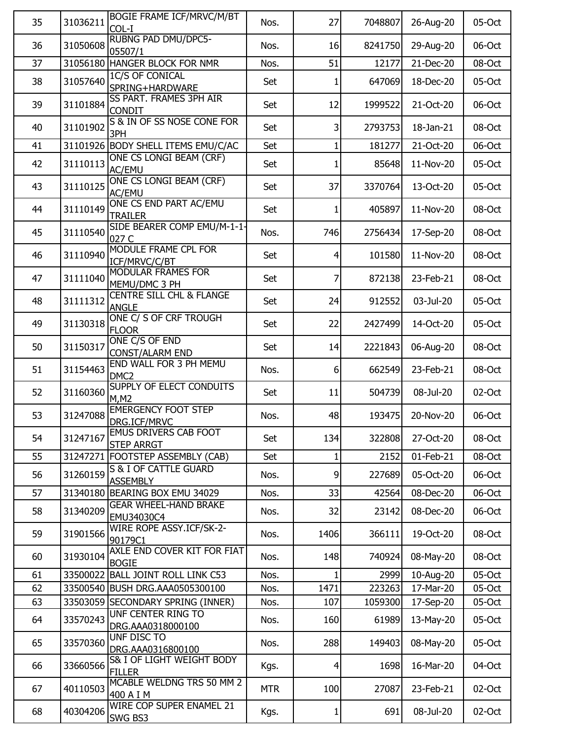| 35 | 31036211 | <b>BOGIE FRAME ICF/MRVC/M/BT</b><br>COL-I           | Nos.       | 27             | 7048807 | 26-Aug-20 | 05-Oct |
|----|----------|-----------------------------------------------------|------------|----------------|---------|-----------|--------|
| 36 | 31050608 | <b>RUBNG PAD DMU/DPC5-</b><br>05507/1               | Nos.       | 16             | 8241750 | 29-Aug-20 | 06-Oct |
| 37 |          | 31056180 HANGER BLOCK FOR NMR                       | Nos.       | 51             | 12177   | 21-Dec-20 | 08-Oct |
| 38 | 31057640 | <b>1C/S OF CONICAL</b><br>SPRING+HARDWARE           | Set        | 1              | 647069  | 18-Dec-20 | 05-Oct |
| 39 | 31101884 | SS PART. FRAMES 3PH AIR<br><b>CONDIT</b>            | Set        | 12             | 1999522 | 21-Oct-20 | 06-Oct |
| 40 | 31101902 | S & IN OF SS NOSE CONE FOR<br>3PH                   | Set        | 3              | 2793753 | 18-Jan-21 | 08-Oct |
| 41 |          | 31101926 BODY SHELL ITEMS EMU/C/AC                  | Set        | 1              | 181277  | 21-Oct-20 | 06-Oct |
| 42 | 31110113 | ONE CS LONGI BEAM (CRF)<br>AC/EMU                   | Set        |                | 85648   | 11-Nov-20 | 05-Oct |
| 43 | 31110125 | ONE CS LONGI BEAM (CRF)<br>AC/EMU                   | Set        | 37             | 3370764 | 13-Oct-20 | 05-Oct |
| 44 | 31110149 | ONE CS END PART AC/EMU<br><b>TRAILER</b>            | Set        |                | 405897  | 11-Nov-20 | 08-Oct |
| 45 | 31110540 | SIDE BEARER COMP EMU/M-1-1-<br>027 C                | Nos.       | 746            | 2756434 | 17-Sep-20 | 08-Oct |
| 46 | 31110940 | MODULE FRAME CPL FOR<br>ICF/MRVC/C/BT               | Set        | 4              | 101580  | 11-Nov-20 | 08-Oct |
| 47 | 31111040 | <b>MODULAR FRAMES FOR</b><br>MEMU/DMC 3 PH          | Set        | 7              | 872138  | 23-Feb-21 | 08-Oct |
| 48 | 31111312 | <b>CENTRE SILL CHL &amp; FLANGE</b><br><b>ANGLE</b> | Set        | 24             | 912552  | 03-Jul-20 | 05-Oct |
| 49 | 31130318 | ONE C/ S OF CRF TROUGH<br><b>FLOOR</b>              | Set        | 22             | 2427499 | 14-Oct-20 | 05-Oct |
| 50 | 31150317 | ONE C/S OF END<br><b>CONST/ALARM END</b>            | Set        | 14             | 2221843 | 06-Aug-20 | 08-Oct |
| 51 | 31154463 | END WALL FOR 3 PH MEMU<br>DMC <sub>2</sub>          | Nos.       | $6 \mid$       | 662549  | 23-Feb-21 | 08-Oct |
| 52 | 31160360 | SUPPLY OF ELECT CONDUITS<br>M, M2                   | Set        | 11             | 504739  | 08-Jul-20 | 02-Oct |
| 53 | 31247088 | <b>EMERGENCY FOOT STEP</b><br>DRG.ICF/MRVC          | Nos.       | 48             | 193475  | 20-Nov-20 | 06-Oct |
| 54 |          | 31247167 EMUS DRIVERS CAB FOOT<br><b>STEP ARRGT</b> | Set        | 134            | 322808  | 27-Oct-20 | 08-Oct |
| 55 |          | 31247271   FOOTSTEP ASSEMBLY (CAB)                  | Set        |                | 2152    | 01-Feb-21 | 08-Oct |
| 56 | 31260159 | S & I OF CATTLE GUARD<br><b>ASSEMBLY</b>            | Nos.       | 9              | 227689  | 05-Oct-20 | 06-Oct |
| 57 |          | 31340180 BEARING BOX EMU 34029                      | Nos.       | 33             | 42564   | 08-Dec-20 | 06-Oct |
| 58 | 31340209 | <b>GEAR WHEEL-HAND BRAKE</b><br>EMU34030C4          | Nos.       | 32             | 23142   | 08-Dec-20 | 06-Oct |
| 59 | 31901566 | WIRE ROPE ASSY.ICF/SK-2-<br>90179C1                 | Nos.       | 1406           | 366111  | 19-Oct-20 | 08-Oct |
| 60 | 31930104 | AXLE END COVER KIT FOR FIAT<br><b>BOGIE</b>         | Nos.       | 148            | 740924  | 08-May-20 | 08-Oct |
| 61 |          | 33500022 BALL JOINT ROLL LINK C53                   | Nos.       |                | 2999    | 10-Aug-20 | 05-Oct |
| 62 |          | 33500540 BUSH DRG.AAA0505300100                     | Nos.       | 1471           | 223263  | 17-Mar-20 | 05-Oct |
| 63 |          | 33503059 SECONDARY SPRING (INNER)                   | Nos.       | 107            | 1059300 | 17-Sep-20 | 05-Oct |
| 64 | 33570243 | UNF CENTER RING TO<br>DRG.AAA0318000100             | Nos.       | 160            | 61989   | 13-May-20 | 05-Oct |
| 65 | 33570360 | UNF DISC TO<br>DRG.AAA0316800100                    | Nos.       | 288            | 149403  | 08-May-20 | 05-Oct |
| 66 | 33660566 | S& I OF LIGHT WEIGHT BODY<br><b>FILLER</b>          | Kgs.       | $\overline{4}$ | 1698    | 16-Mar-20 | 04-Oct |
| 67 | 40110503 | MCABLE WELDNG TRS 50 MM 2<br>400 A I M              | <b>MTR</b> | 100            | 27087   | 23-Feb-21 | 02-Oct |
| 68 | 40304206 | WIRE COP SUPER ENAMEL 21<br>SWG BS3                 | Kgs.       | 1              | 691     | 08-Jul-20 | 02-Oct |
|    |          |                                                     |            |                |         |           |        |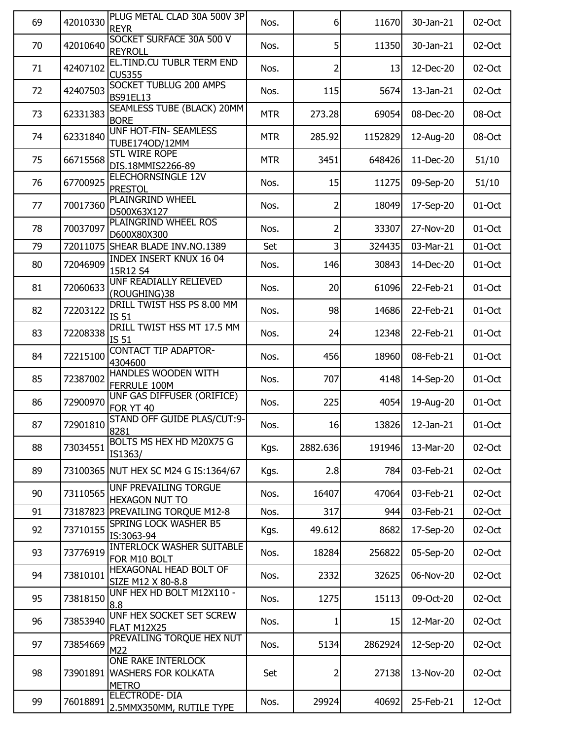| SOCKET SURFACE 30A 500 V<br>70<br>42010640<br>5<br>11350<br>30-Jan-21<br>02-Oct<br>Nos.<br><b>REYROLL</b><br>EL.TIND.CU TUBLR TERM END<br>42407102<br>13<br>71<br>12-Dec-20<br>02-Oct<br>Nos.<br>2<br><b>CUS355</b><br>SOCKET TUBLUG 200 AMPS<br>42407503<br>5674<br>72<br>Nos.<br>115<br>13-Jan-21<br>02-Oct<br><b>BS91EL13</b><br>SEAMLESS TUBE (BLACK) 20MM<br>73<br>62331383<br><b>MTR</b><br>273.28<br>69054<br>08-Oct<br>08-Dec-20<br><b>BORE</b><br><b>UNF HOT-FIN- SEAMLESS</b><br>62331840<br>285.92<br>1152829<br>74<br><b>MTR</b><br>12-Aug-20<br>08-Oct<br>TUBE174OD/12MM<br><b>STL WIRE ROPE</b><br>66715568<br>3451<br>648426<br>51/10<br>75<br><b>MTR</b><br>11-Dec-20<br>DIS.18MMIS2266-89<br>ELECHORNSINGLE 12V<br>67700925<br>51/10<br>76<br>15<br>11275<br>09-Sep-20<br>Nos.<br><b>PRESTOL</b><br><b>PLAINGRIND WHEEL</b><br>77<br>70017360<br>2<br>18049<br>17-Sep-20<br>01-Oct<br>Nos.<br>D500X63X127<br>PLAINGRIND WHEEL ROS<br>78<br>70037097<br>2<br>33307<br>27-Nov-20<br>01-Oct<br>Nos.<br>D600X80X300<br>3<br>79<br>72011075 SHEAR BLADE INV.NO.1389<br>Set<br>324435<br>03-Mar-21<br>01-Oct<br><b>INDEX INSERT KNUX 16 04</b><br>80<br>72046909<br>146<br>30843<br>14-Dec-20<br>01-Oct<br>Nos.<br>15R12 S4<br>UNF READIALLY RELIEVED<br>81<br>72060633<br>20<br>61096<br>22-Feb-21<br>01-Oct<br>Nos.<br>(ROUGHING)38<br>DRILL TWIST HSS PS 8.00 MM<br>72203122<br>98<br>01-Oct<br>82<br>Nos.<br>14686<br>22-Feb-21<br><b>IS 51</b><br>DRILL TWIST HSS MT 17.5 MM<br>83<br>72208338<br>24<br>01-Oct<br>Nos.<br>12348<br>22-Feb-21<br>IS 51<br><b>CONTACT TIP ADAPTOR-</b><br>72215100<br>456<br>08-Feb-21<br>01-Oct<br>84<br>Nos.<br>18960<br>4304600<br>HANDLES WOODEN WITH<br>72387002<br>707<br>14-Sep-20<br>85<br>4148<br>01-Oct<br>Nos.<br>FERRULE 100M<br>UNF GAS DIFFUSER (ORIFICE)<br>72900970<br>225<br>4054<br>86<br>Nos.<br>19-Aug-20<br>01-Oct<br><b>FOR YT 40</b><br>STAND OFF GUIDE PLAS/CUT:9-<br>87<br>16<br>72901810<br>Nos.<br>13826<br>01-Oct<br>12-Jan-21<br>8281<br>BOLTS MS HEX HD M20X75 G<br>88<br>2882.636<br>02-Oct<br>73034551<br>Kgs.<br>191946<br>13-Mar-20<br>IS1363/<br>2.8<br>03-Feb-21<br>89<br>73100365 NUT HEX SC M24 G IS:1364/67<br>Kgs.<br>784<br>02-Oct<br>UNF PREVAILING TORGUE<br>90<br>73110565<br>16407<br>47064<br>02-Oct<br>Nos.<br>03-Feb-21<br><b>HEXAGON NUT TO</b><br>91<br>73187823 PREVAILING TORQUE M12-8<br>Nos.<br>317<br>03-Feb-21<br>02-Oct<br>944<br>SPRING LOCK WASHER B5<br>92<br>73710155<br>49.612<br>Kgs.<br>8682<br>17-Sep-20<br>02-Oct<br>IS:3063-94<br><b>INTERLOCK WASHER SUITABLE</b><br>18284<br>93<br>73776919<br>Nos.<br>256822<br>05-Sep-20<br>02-Oct<br>FOR M10 BOLT<br>HEXAGONAL HEAD BOLT OF<br>73810101<br>2332<br>94<br>Nos.<br>32625<br>06-Nov-20<br>02-Oct<br>SIZE M12 X 80-8.8<br>UNF HEX HD BOLT M12X110 -<br>95<br>73818150<br>09-Oct-20<br>02-Oct<br>Nos.<br>1275<br>15113<br>8.8<br>UNF HEX SOCKET SET SCREW<br>96<br>73853940<br>02-Oct<br>Nos.<br>15<br>12-Mar-20<br>1<br><b>FLAT M12X25</b><br>PREVAILING TORQUE HEX NUT<br>97<br>73854669<br>5134<br>2862924<br>12-Sep-20<br>02-Oct<br>Nos.<br>M22<br><b>ONE RAKE INTERLOCK</b><br>98<br>73901891 WASHERS FOR KOLKATA<br>27138<br>13-Nov-20<br>02-Oct<br>Set<br><b>METRO</b><br><b>ELECTRODE-DIA</b><br>99<br>76018891<br>29924<br>40692<br>12-Oct<br>Nos.<br>25-Feb-21<br>2.5MMX350MM, RUTILE TYPE | 69 | 42010330 | PLUG METAL CLAD 30A 500V 3P<br><b>REYR</b> | Nos. | $6 \mid$ | 11670 | 30-Jan-21 | 02-Oct |
|-----------------------------------------------------------------------------------------------------------------------------------------------------------------------------------------------------------------------------------------------------------------------------------------------------------------------------------------------------------------------------------------------------------------------------------------------------------------------------------------------------------------------------------------------------------------------------------------------------------------------------------------------------------------------------------------------------------------------------------------------------------------------------------------------------------------------------------------------------------------------------------------------------------------------------------------------------------------------------------------------------------------------------------------------------------------------------------------------------------------------------------------------------------------------------------------------------------------------------------------------------------------------------------------------------------------------------------------------------------------------------------------------------------------------------------------------------------------------------------------------------------------------------------------------------------------------------------------------------------------------------------------------------------------------------------------------------------------------------------------------------------------------------------------------------------------------------------------------------------------------------------------------------------------------------------------------------------------------------------------------------------------------------------------------------------------------------------------------------------------------------------------------------------------------------------------------------------------------------------------------------------------------------------------------------------------------------------------------------------------------------------------------------------------------------------------------------------------------------------------------------------------------------------------------------------------------------------------------------------------------------------------------------------------------------------------------------------------------------------------------------------------------------------------------------------------------------------------------------------------------------------------------------------------------------------------------------------------------------------------------------------------------------------------------------------------------------------------------------------------------------------------------------------------------------------------------------------------------------------------------------------------------------------------------------------------------------------------------------------------------|----|----------|--------------------------------------------|------|----------|-------|-----------|--------|
|                                                                                                                                                                                                                                                                                                                                                                                                                                                                                                                                                                                                                                                                                                                                                                                                                                                                                                                                                                                                                                                                                                                                                                                                                                                                                                                                                                                                                                                                                                                                                                                                                                                                                                                                                                                                                                                                                                                                                                                                                                                                                                                                                                                                                                                                                                                                                                                                                                                                                                                                                                                                                                                                                                                                                                                                                                                                                                                                                                                                                                                                                                                                                                                                                                                                                                                                                                       |    |          |                                            |      |          |       |           |        |
|                                                                                                                                                                                                                                                                                                                                                                                                                                                                                                                                                                                                                                                                                                                                                                                                                                                                                                                                                                                                                                                                                                                                                                                                                                                                                                                                                                                                                                                                                                                                                                                                                                                                                                                                                                                                                                                                                                                                                                                                                                                                                                                                                                                                                                                                                                                                                                                                                                                                                                                                                                                                                                                                                                                                                                                                                                                                                                                                                                                                                                                                                                                                                                                                                                                                                                                                                                       |    |          |                                            |      |          |       |           |        |
|                                                                                                                                                                                                                                                                                                                                                                                                                                                                                                                                                                                                                                                                                                                                                                                                                                                                                                                                                                                                                                                                                                                                                                                                                                                                                                                                                                                                                                                                                                                                                                                                                                                                                                                                                                                                                                                                                                                                                                                                                                                                                                                                                                                                                                                                                                                                                                                                                                                                                                                                                                                                                                                                                                                                                                                                                                                                                                                                                                                                                                                                                                                                                                                                                                                                                                                                                                       |    |          |                                            |      |          |       |           |        |
|                                                                                                                                                                                                                                                                                                                                                                                                                                                                                                                                                                                                                                                                                                                                                                                                                                                                                                                                                                                                                                                                                                                                                                                                                                                                                                                                                                                                                                                                                                                                                                                                                                                                                                                                                                                                                                                                                                                                                                                                                                                                                                                                                                                                                                                                                                                                                                                                                                                                                                                                                                                                                                                                                                                                                                                                                                                                                                                                                                                                                                                                                                                                                                                                                                                                                                                                                                       |    |          |                                            |      |          |       |           |        |
|                                                                                                                                                                                                                                                                                                                                                                                                                                                                                                                                                                                                                                                                                                                                                                                                                                                                                                                                                                                                                                                                                                                                                                                                                                                                                                                                                                                                                                                                                                                                                                                                                                                                                                                                                                                                                                                                                                                                                                                                                                                                                                                                                                                                                                                                                                                                                                                                                                                                                                                                                                                                                                                                                                                                                                                                                                                                                                                                                                                                                                                                                                                                                                                                                                                                                                                                                                       |    |          |                                            |      |          |       |           |        |
|                                                                                                                                                                                                                                                                                                                                                                                                                                                                                                                                                                                                                                                                                                                                                                                                                                                                                                                                                                                                                                                                                                                                                                                                                                                                                                                                                                                                                                                                                                                                                                                                                                                                                                                                                                                                                                                                                                                                                                                                                                                                                                                                                                                                                                                                                                                                                                                                                                                                                                                                                                                                                                                                                                                                                                                                                                                                                                                                                                                                                                                                                                                                                                                                                                                                                                                                                                       |    |          |                                            |      |          |       |           |        |
|                                                                                                                                                                                                                                                                                                                                                                                                                                                                                                                                                                                                                                                                                                                                                                                                                                                                                                                                                                                                                                                                                                                                                                                                                                                                                                                                                                                                                                                                                                                                                                                                                                                                                                                                                                                                                                                                                                                                                                                                                                                                                                                                                                                                                                                                                                                                                                                                                                                                                                                                                                                                                                                                                                                                                                                                                                                                                                                                                                                                                                                                                                                                                                                                                                                                                                                                                                       |    |          |                                            |      |          |       |           |        |
|                                                                                                                                                                                                                                                                                                                                                                                                                                                                                                                                                                                                                                                                                                                                                                                                                                                                                                                                                                                                                                                                                                                                                                                                                                                                                                                                                                                                                                                                                                                                                                                                                                                                                                                                                                                                                                                                                                                                                                                                                                                                                                                                                                                                                                                                                                                                                                                                                                                                                                                                                                                                                                                                                                                                                                                                                                                                                                                                                                                                                                                                                                                                                                                                                                                                                                                                                                       |    |          |                                            |      |          |       |           |        |
|                                                                                                                                                                                                                                                                                                                                                                                                                                                                                                                                                                                                                                                                                                                                                                                                                                                                                                                                                                                                                                                                                                                                                                                                                                                                                                                                                                                                                                                                                                                                                                                                                                                                                                                                                                                                                                                                                                                                                                                                                                                                                                                                                                                                                                                                                                                                                                                                                                                                                                                                                                                                                                                                                                                                                                                                                                                                                                                                                                                                                                                                                                                                                                                                                                                                                                                                                                       |    |          |                                            |      |          |       |           |        |
|                                                                                                                                                                                                                                                                                                                                                                                                                                                                                                                                                                                                                                                                                                                                                                                                                                                                                                                                                                                                                                                                                                                                                                                                                                                                                                                                                                                                                                                                                                                                                                                                                                                                                                                                                                                                                                                                                                                                                                                                                                                                                                                                                                                                                                                                                                                                                                                                                                                                                                                                                                                                                                                                                                                                                                                                                                                                                                                                                                                                                                                                                                                                                                                                                                                                                                                                                                       |    |          |                                            |      |          |       |           |        |
|                                                                                                                                                                                                                                                                                                                                                                                                                                                                                                                                                                                                                                                                                                                                                                                                                                                                                                                                                                                                                                                                                                                                                                                                                                                                                                                                                                                                                                                                                                                                                                                                                                                                                                                                                                                                                                                                                                                                                                                                                                                                                                                                                                                                                                                                                                                                                                                                                                                                                                                                                                                                                                                                                                                                                                                                                                                                                                                                                                                                                                                                                                                                                                                                                                                                                                                                                                       |    |          |                                            |      |          |       |           |        |
|                                                                                                                                                                                                                                                                                                                                                                                                                                                                                                                                                                                                                                                                                                                                                                                                                                                                                                                                                                                                                                                                                                                                                                                                                                                                                                                                                                                                                                                                                                                                                                                                                                                                                                                                                                                                                                                                                                                                                                                                                                                                                                                                                                                                                                                                                                                                                                                                                                                                                                                                                                                                                                                                                                                                                                                                                                                                                                                                                                                                                                                                                                                                                                                                                                                                                                                                                                       |    |          |                                            |      |          |       |           |        |
|                                                                                                                                                                                                                                                                                                                                                                                                                                                                                                                                                                                                                                                                                                                                                                                                                                                                                                                                                                                                                                                                                                                                                                                                                                                                                                                                                                                                                                                                                                                                                                                                                                                                                                                                                                                                                                                                                                                                                                                                                                                                                                                                                                                                                                                                                                                                                                                                                                                                                                                                                                                                                                                                                                                                                                                                                                                                                                                                                                                                                                                                                                                                                                                                                                                                                                                                                                       |    |          |                                            |      |          |       |           |        |
|                                                                                                                                                                                                                                                                                                                                                                                                                                                                                                                                                                                                                                                                                                                                                                                                                                                                                                                                                                                                                                                                                                                                                                                                                                                                                                                                                                                                                                                                                                                                                                                                                                                                                                                                                                                                                                                                                                                                                                                                                                                                                                                                                                                                                                                                                                                                                                                                                                                                                                                                                                                                                                                                                                                                                                                                                                                                                                                                                                                                                                                                                                                                                                                                                                                                                                                                                                       |    |          |                                            |      |          |       |           |        |
|                                                                                                                                                                                                                                                                                                                                                                                                                                                                                                                                                                                                                                                                                                                                                                                                                                                                                                                                                                                                                                                                                                                                                                                                                                                                                                                                                                                                                                                                                                                                                                                                                                                                                                                                                                                                                                                                                                                                                                                                                                                                                                                                                                                                                                                                                                                                                                                                                                                                                                                                                                                                                                                                                                                                                                                                                                                                                                                                                                                                                                                                                                                                                                                                                                                                                                                                                                       |    |          |                                            |      |          |       |           |        |
|                                                                                                                                                                                                                                                                                                                                                                                                                                                                                                                                                                                                                                                                                                                                                                                                                                                                                                                                                                                                                                                                                                                                                                                                                                                                                                                                                                                                                                                                                                                                                                                                                                                                                                                                                                                                                                                                                                                                                                                                                                                                                                                                                                                                                                                                                                                                                                                                                                                                                                                                                                                                                                                                                                                                                                                                                                                                                                                                                                                                                                                                                                                                                                                                                                                                                                                                                                       |    |          |                                            |      |          |       |           |        |
|                                                                                                                                                                                                                                                                                                                                                                                                                                                                                                                                                                                                                                                                                                                                                                                                                                                                                                                                                                                                                                                                                                                                                                                                                                                                                                                                                                                                                                                                                                                                                                                                                                                                                                                                                                                                                                                                                                                                                                                                                                                                                                                                                                                                                                                                                                                                                                                                                                                                                                                                                                                                                                                                                                                                                                                                                                                                                                                                                                                                                                                                                                                                                                                                                                                                                                                                                                       |    |          |                                            |      |          |       |           |        |
|                                                                                                                                                                                                                                                                                                                                                                                                                                                                                                                                                                                                                                                                                                                                                                                                                                                                                                                                                                                                                                                                                                                                                                                                                                                                                                                                                                                                                                                                                                                                                                                                                                                                                                                                                                                                                                                                                                                                                                                                                                                                                                                                                                                                                                                                                                                                                                                                                                                                                                                                                                                                                                                                                                                                                                                                                                                                                                                                                                                                                                                                                                                                                                                                                                                                                                                                                                       |    |          |                                            |      |          |       |           |        |
|                                                                                                                                                                                                                                                                                                                                                                                                                                                                                                                                                                                                                                                                                                                                                                                                                                                                                                                                                                                                                                                                                                                                                                                                                                                                                                                                                                                                                                                                                                                                                                                                                                                                                                                                                                                                                                                                                                                                                                                                                                                                                                                                                                                                                                                                                                                                                                                                                                                                                                                                                                                                                                                                                                                                                                                                                                                                                                                                                                                                                                                                                                                                                                                                                                                                                                                                                                       |    |          |                                            |      |          |       |           |        |
|                                                                                                                                                                                                                                                                                                                                                                                                                                                                                                                                                                                                                                                                                                                                                                                                                                                                                                                                                                                                                                                                                                                                                                                                                                                                                                                                                                                                                                                                                                                                                                                                                                                                                                                                                                                                                                                                                                                                                                                                                                                                                                                                                                                                                                                                                                                                                                                                                                                                                                                                                                                                                                                                                                                                                                                                                                                                                                                                                                                                                                                                                                                                                                                                                                                                                                                                                                       |    |          |                                            |      |          |       |           |        |
|                                                                                                                                                                                                                                                                                                                                                                                                                                                                                                                                                                                                                                                                                                                                                                                                                                                                                                                                                                                                                                                                                                                                                                                                                                                                                                                                                                                                                                                                                                                                                                                                                                                                                                                                                                                                                                                                                                                                                                                                                                                                                                                                                                                                                                                                                                                                                                                                                                                                                                                                                                                                                                                                                                                                                                                                                                                                                                                                                                                                                                                                                                                                                                                                                                                                                                                                                                       |    |          |                                            |      |          |       |           |        |
|                                                                                                                                                                                                                                                                                                                                                                                                                                                                                                                                                                                                                                                                                                                                                                                                                                                                                                                                                                                                                                                                                                                                                                                                                                                                                                                                                                                                                                                                                                                                                                                                                                                                                                                                                                                                                                                                                                                                                                                                                                                                                                                                                                                                                                                                                                                                                                                                                                                                                                                                                                                                                                                                                                                                                                                                                                                                                                                                                                                                                                                                                                                                                                                                                                                                                                                                                                       |    |          |                                            |      |          |       |           |        |
|                                                                                                                                                                                                                                                                                                                                                                                                                                                                                                                                                                                                                                                                                                                                                                                                                                                                                                                                                                                                                                                                                                                                                                                                                                                                                                                                                                                                                                                                                                                                                                                                                                                                                                                                                                                                                                                                                                                                                                                                                                                                                                                                                                                                                                                                                                                                                                                                                                                                                                                                                                                                                                                                                                                                                                                                                                                                                                                                                                                                                                                                                                                                                                                                                                                                                                                                                                       |    |          |                                            |      |          |       |           |        |
|                                                                                                                                                                                                                                                                                                                                                                                                                                                                                                                                                                                                                                                                                                                                                                                                                                                                                                                                                                                                                                                                                                                                                                                                                                                                                                                                                                                                                                                                                                                                                                                                                                                                                                                                                                                                                                                                                                                                                                                                                                                                                                                                                                                                                                                                                                                                                                                                                                                                                                                                                                                                                                                                                                                                                                                                                                                                                                                                                                                                                                                                                                                                                                                                                                                                                                                                                                       |    |          |                                            |      |          |       |           |        |
|                                                                                                                                                                                                                                                                                                                                                                                                                                                                                                                                                                                                                                                                                                                                                                                                                                                                                                                                                                                                                                                                                                                                                                                                                                                                                                                                                                                                                                                                                                                                                                                                                                                                                                                                                                                                                                                                                                                                                                                                                                                                                                                                                                                                                                                                                                                                                                                                                                                                                                                                                                                                                                                                                                                                                                                                                                                                                                                                                                                                                                                                                                                                                                                                                                                                                                                                                                       |    |          |                                            |      |          |       |           |        |
|                                                                                                                                                                                                                                                                                                                                                                                                                                                                                                                                                                                                                                                                                                                                                                                                                                                                                                                                                                                                                                                                                                                                                                                                                                                                                                                                                                                                                                                                                                                                                                                                                                                                                                                                                                                                                                                                                                                                                                                                                                                                                                                                                                                                                                                                                                                                                                                                                                                                                                                                                                                                                                                                                                                                                                                                                                                                                                                                                                                                                                                                                                                                                                                                                                                                                                                                                                       |    |          |                                            |      |          |       |           |        |
|                                                                                                                                                                                                                                                                                                                                                                                                                                                                                                                                                                                                                                                                                                                                                                                                                                                                                                                                                                                                                                                                                                                                                                                                                                                                                                                                                                                                                                                                                                                                                                                                                                                                                                                                                                                                                                                                                                                                                                                                                                                                                                                                                                                                                                                                                                                                                                                                                                                                                                                                                                                                                                                                                                                                                                                                                                                                                                                                                                                                                                                                                                                                                                                                                                                                                                                                                                       |    |          |                                            |      |          |       |           |        |
|                                                                                                                                                                                                                                                                                                                                                                                                                                                                                                                                                                                                                                                                                                                                                                                                                                                                                                                                                                                                                                                                                                                                                                                                                                                                                                                                                                                                                                                                                                                                                                                                                                                                                                                                                                                                                                                                                                                                                                                                                                                                                                                                                                                                                                                                                                                                                                                                                                                                                                                                                                                                                                                                                                                                                                                                                                                                                                                                                                                                                                                                                                                                                                                                                                                                                                                                                                       |    |          |                                            |      |          |       |           |        |
|                                                                                                                                                                                                                                                                                                                                                                                                                                                                                                                                                                                                                                                                                                                                                                                                                                                                                                                                                                                                                                                                                                                                                                                                                                                                                                                                                                                                                                                                                                                                                                                                                                                                                                                                                                                                                                                                                                                                                                                                                                                                                                                                                                                                                                                                                                                                                                                                                                                                                                                                                                                                                                                                                                                                                                                                                                                                                                                                                                                                                                                                                                                                                                                                                                                                                                                                                                       |    |          |                                            |      |          |       |           |        |
|                                                                                                                                                                                                                                                                                                                                                                                                                                                                                                                                                                                                                                                                                                                                                                                                                                                                                                                                                                                                                                                                                                                                                                                                                                                                                                                                                                                                                                                                                                                                                                                                                                                                                                                                                                                                                                                                                                                                                                                                                                                                                                                                                                                                                                                                                                                                                                                                                                                                                                                                                                                                                                                                                                                                                                                                                                                                                                                                                                                                                                                                                                                                                                                                                                                                                                                                                                       |    |          |                                            |      |          |       |           |        |